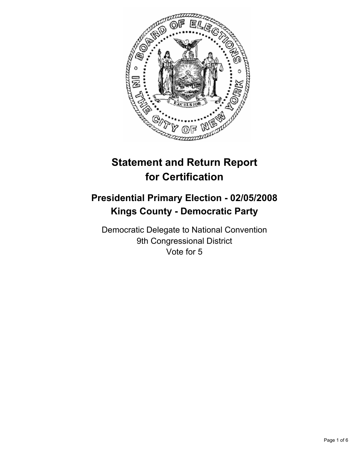

# **Statement and Return Report for Certification**

# **Presidential Primary Election - 02/05/2008 Kings County - Democratic Party**

Democratic Delegate to National Convention 9th Congressional District Vote for 5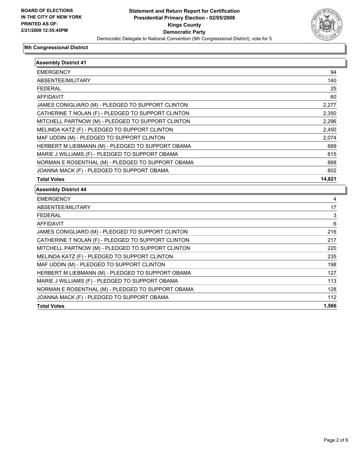

| <b>Assembly District 41</b>                        |        |
|----------------------------------------------------|--------|
| <b>EMERGENCY</b>                                   | 94     |
| ABSENTEE/MILITARY                                  | 140    |
| FEDERAL                                            | 25     |
| <b>AFFIDAVIT</b>                                   | 60     |
| JAMES CONIGLIARO (M) - PLEDGED TO SUPPORT CLINTON  | 2,277  |
| CATHERINE T NOLAN (F) - PLEDGED TO SUPPORT CLINTON | 2,350  |
| MITCHELL PARTNOW (M) - PLEDGED TO SUPPORT CLINTON  | 2,296  |
| MELINDA KATZ (F) - PLEDGED TO SUPPORT CLINTON      | 2,450  |
| MAF UDDIN (M) - PLEDGED TO SUPPORT CLINTON         | 2,074  |
| HERBERT M LIEBMANN (M) - PLEDGED TO SUPPORT OBAMA  | 889    |
| MARIE J WILLIAMS (F) - PLEDGED TO SUPPORT OBAMA    | 815    |
| NORMAN E ROSENTHAL (M) - PLEDGED TO SUPPORT OBAMA  | 868    |
| JOANNA MACK (F) - PLEDGED TO SUPPORT OBAMA         | 802    |
| <b>Total Votes</b>                                 | 14,821 |
| <b>Assembly District 44</b>                        |        |
| <b>EMERGENCY</b>                                   | 4      |
| ABSENTEE/MILITARY                                  | 17     |
| <b>FEDERAL</b>                                     | 3      |
| <b>AFFIDAVIT</b>                                   | 6      |
| JAMES CONIGLIARO (M) - PLEDGED TO SUPPORT CLINTON  | 216    |
| CATHERINE T NOLAN (F) - PLEDGED TO SUPPORT CLINTON | 217    |
| MITCHELL PARTNOW (M) - PLEDGED TO SUPPORT CLINTON  | 220    |
| MELINDA KATZ (F) - PLEDGED TO SUPPORT CLINTON      | 235    |
| MAF UDDIN (M) - PLEDGED TO SUPPORT CLINTON         | 198    |
| HERBERT M LIEBMANN (M) - PLEDGED TO SUPPORT OBAMA  | 127    |
| MARIE J WILLIAMS (F) - PLEDGED TO SUPPORT OBAMA    | 113    |
| NORMAN E ROSENTHAL (M) - PLEDGED TO SUPPORT OBAMA  | 128    |
| JOANNA MACK (F) - PLEDGED TO SUPPORT OBAMA         | 112    |
| <b>Total Votes</b>                                 | 1,566  |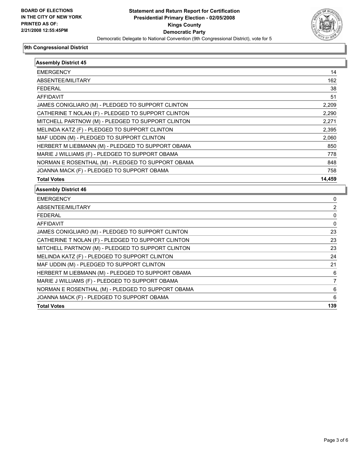

| <b>Assembly District 45</b>                        |        |
|----------------------------------------------------|--------|
| <b>EMERGENCY</b>                                   | 14     |
| ABSENTEE/MILITARY                                  | 162    |
| <b>FEDERAL</b>                                     | 38     |
| <b>AFFIDAVIT</b>                                   | 51     |
| JAMES CONIGLIARO (M) - PLEDGED TO SUPPORT CLINTON  | 2,209  |
| CATHERINE T NOLAN (F) - PLEDGED TO SUPPORT CLINTON | 2,290  |
| MITCHELL PARTNOW (M) - PLEDGED TO SUPPORT CLINTON  | 2,271  |
| MELINDA KATZ (F) - PLEDGED TO SUPPORT CLINTON      | 2,395  |
| MAF UDDIN (M) - PLEDGED TO SUPPORT CLINTON         | 2,060  |
| HERBERT M LIEBMANN (M) - PLEDGED TO SUPPORT OBAMA  | 850    |
| MARIE J WILLIAMS (F) - PLEDGED TO SUPPORT OBAMA    | 778    |
| NORMAN E ROSENTHAL (M) - PLEDGED TO SUPPORT OBAMA  | 848    |
| JOANNA MACK (F) - PLEDGED TO SUPPORT OBAMA         | 758    |
| <b>Total Votes</b>                                 | 14,459 |
| <b>Assembly District 46</b>                        |        |
| <b>EMERGENCY</b>                                   | 0      |
| ABSENTEE/MILITARY                                  | 2      |
| <b>FEDERAL</b>                                     | 0      |
| <b>AFFIDAVIT</b>                                   | 0      |
| JAMES CONIGLIARO (M) - PLEDGED TO SUPPORT CLINTON  | 23     |
| CATHERINE T NOLAN (F) - PLEDGED TO SUPPORT CLINTON | 23     |
| MITCHELL PARTNOW (M) - PLEDGED TO SUPPORT CLINTON  | 23     |
| MELINDA KATZ (F) - PLEDGED TO SUPPORT CLINTON      | 24     |
|                                                    | 21     |
| MAF UDDIN (M) - PLEDGED TO SUPPORT CLINTON         |        |
| HERBERT M LIEBMANN (M) - PLEDGED TO SUPPORT OBAMA  | 6      |
| MARIE J WILLIAMS (F) - PLEDGED TO SUPPORT OBAMA    | 7      |
| NORMAN E ROSENTHAL (M) - PLEDGED TO SUPPORT OBAMA  | 6      |
| JOANNA MACK (F) - PLEDGED TO SUPPORT OBAMA         | 6      |

**Total Votes 139**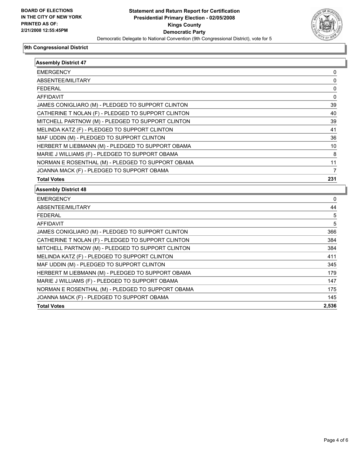

| <b>Assembly District 47</b>                        |       |
|----------------------------------------------------|-------|
| <b>EMERGENCY</b>                                   | 0     |
| ABSENTEE/MILITARY                                  | 0     |
| <b>FEDERAL</b>                                     | 0     |
| <b>AFFIDAVIT</b>                                   | 0     |
| JAMES CONIGLIARO (M) - PLEDGED TO SUPPORT CLINTON  | 39    |
| CATHERINE T NOLAN (F) - PLEDGED TO SUPPORT CLINTON | 40    |
| MITCHELL PARTNOW (M) - PLEDGED TO SUPPORT CLINTON  | 39    |
| MELINDA KATZ (F) - PLEDGED TO SUPPORT CLINTON      | 41    |
| MAF UDDIN (M) - PLEDGED TO SUPPORT CLINTON         | 36    |
| HERBERT M LIEBMANN (M) - PLEDGED TO SUPPORT OBAMA  | 10    |
| MARIE J WILLIAMS (F) - PLEDGED TO SUPPORT OBAMA    | 8     |
| NORMAN E ROSENTHAL (M) - PLEDGED TO SUPPORT OBAMA  | 11    |
| JOANNA MACK (F) - PLEDGED TO SUPPORT OBAMA         | 7     |
| <b>Total Votes</b>                                 | 231   |
| <b>Assembly District 48</b>                        |       |
| <b>EMERGENCY</b>                                   | 0     |
| ABSENTEE/MILITARY                                  | 44    |
| <b>FEDERAL</b>                                     | 5     |
| <b>AFFIDAVIT</b>                                   | 5     |
| JAMES CONIGLIARO (M) - PLEDGED TO SUPPORT CLINTON  | 366   |
| CATHERINE T NOLAN (F) - PLEDGED TO SUPPORT CLINTON | 384   |
| MITCHELL PARTNOW (M) - PLEDGED TO SUPPORT CLINTON  | 384   |
| MELINDA KATZ (F) - PLEDGED TO SUPPORT CLINTON      | 411   |
| MAF UDDIN (M) - PLEDGED TO SUPPORT CLINTON         | 345   |
| HERBERT M LIEBMANN (M) - PLEDGED TO SUPPORT OBAMA  | 179   |
| MARIE J WILLIAMS (F) - PLEDGED TO SUPPORT OBAMA    | 147   |
| NORMAN E ROSENTHAL (M) - PLEDGED TO SUPPORT OBAMA  | 175   |
| JOANNA MACK (F) - PLEDGED TO SUPPORT OBAMA         | 145   |
| <b>Total Votes</b>                                 | 2,536 |
|                                                    |       |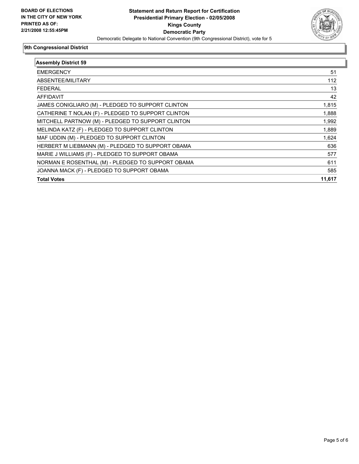

| <b>Assembly District 59</b>                        |        |
|----------------------------------------------------|--------|
| <b>EMERGENCY</b>                                   | 51     |
| ABSENTEE/MILITARY                                  | 112    |
| <b>FEDERAL</b>                                     | 13     |
| <b>AFFIDAVIT</b>                                   | 42     |
| JAMES CONIGLIARO (M) - PLEDGED TO SUPPORT CLINTON  | 1,815  |
| CATHERINE T NOLAN (F) - PLEDGED TO SUPPORT CLINTON | 1,888  |
| MITCHELL PARTNOW (M) - PLEDGED TO SUPPORT CLINTON  | 1,992  |
| MELINDA KATZ (F) - PLEDGED TO SUPPORT CLINTON      | 1,889  |
| MAF UDDIN (M) - PLEDGED TO SUPPORT CLINTON         | 1,624  |
| HERBERT M LIEBMANN (M) - PLEDGED TO SUPPORT OBAMA  | 636    |
| MARIE J WILLIAMS (F) - PLEDGED TO SUPPORT OBAMA    | 577    |
| NORMAN E ROSENTHAL (M) - PLEDGED TO SUPPORT OBAMA  | 611    |
| JOANNA MACK (F) - PLEDGED TO SUPPORT OBAMA         | 585    |
| <b>Total Votes</b>                                 | 11,617 |
|                                                    |        |